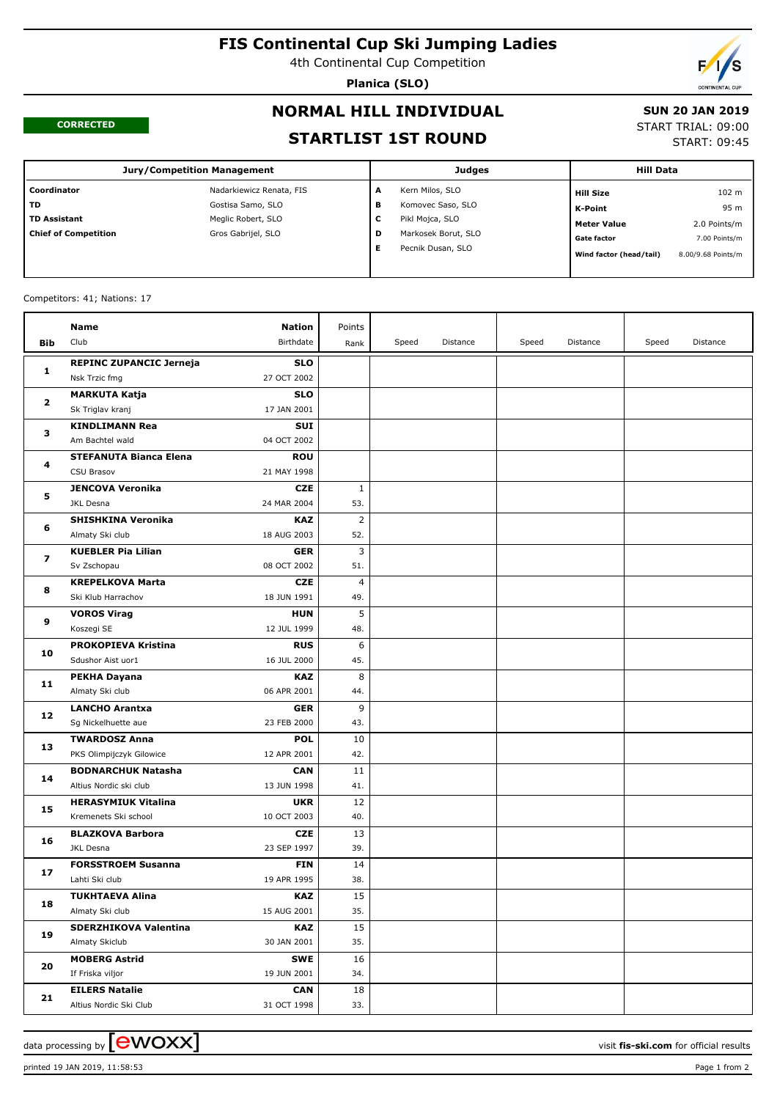# **FIS Continental Cup Ski Jumping Ladies**

4th Continental Cup Competition

**Planica (SLO)**



#### **CORRECTED**

# **NORMAL HILL INDIVIDUAL**

#### **SUN 20 JAN 2019** START TRIAL: 09:00

START: 09:45

**STARTLIST 1ST ROUND**

| <b>Jury/Competition Management</b> |                          |   | <b>Judges</b>       | <b>Hill Data</b>        |                    |
|------------------------------------|--------------------------|---|---------------------|-------------------------|--------------------|
| Coordinator                        | Nadarkiewicz Renata, FIS | A | Kern Milos, SLO     | Hill Size               | 102 m              |
| TD.                                | Gostisa Samo, SLO        | в | Komovec Saso, SLO   | K-Point                 | 95 m               |
| <b>TD Assistant</b>                | Meglic Robert, SLO       | с | Pikl Mojca, SLO     | <b>Meter Value</b>      | 2.0 Points/m       |
| <b>Chief of Competition</b>        | Gros Gabrijel, SLO       | D | Markosek Borut, SLO | <b>Gate factor</b>      | 7.00 Points/m      |
|                                    |                          | Е | Pecnik Dusan, SLO   | Wind factor (head/tail) | 8.00/9.68 Points/m |
|                                    |                          |   |                     |                         |                    |

#### Competitors: 41; Nations: 17

|                         | Name                           | <b>Nation</b> | Points         |       |          |       |          |       |          |
|-------------------------|--------------------------------|---------------|----------------|-------|----------|-------|----------|-------|----------|
| Bib                     | Club                           | Birthdate     | Rank           | Speed | Distance | Speed | Distance | Speed | Distance |
|                         | <b>REPINC ZUPANCIC Jerneja</b> | <b>SLO</b>    |                |       |          |       |          |       |          |
| 1                       | Nsk Trzic fmg                  | 27 OCT 2002   |                |       |          |       |          |       |          |
| $\mathbf{2}$            | <b>MARKUTA Katja</b>           | <b>SLO</b>    |                |       |          |       |          |       |          |
|                         | Sk Triglav kranj               | 17 JAN 2001   |                |       |          |       |          |       |          |
| з                       | <b>KINDLIMANN Rea</b>          | <b>SUI</b>    |                |       |          |       |          |       |          |
|                         | Am Bachtel wald                | 04 OCT 2002   |                |       |          |       |          |       |          |
| 4                       | <b>STEFANUTA Bianca Elena</b>  | <b>ROU</b>    |                |       |          |       |          |       |          |
|                         | CSU Brasov                     | 21 MAY 1998   |                |       |          |       |          |       |          |
|                         | <b>JENCOVA Veronika</b>        | <b>CZE</b>    | 1              |       |          |       |          |       |          |
| 5                       | <b>JKL Desna</b>               | 24 MAR 2004   | 53.            |       |          |       |          |       |          |
|                         | <b>SHISHKINA Veronika</b>      | <b>KAZ</b>    | $\overline{2}$ |       |          |       |          |       |          |
| 6                       | Almaty Ski club                | 18 AUG 2003   | 52.            |       |          |       |          |       |          |
|                         | <b>KUEBLER Pia Lilian</b>      | <b>GER</b>    | 3              |       |          |       |          |       |          |
| $\overline{\mathbf{z}}$ | Sv Zschopau                    | 08 OCT 2002   | 51.            |       |          |       |          |       |          |
|                         | <b>KREPELKOVA Marta</b>        | <b>CZE</b>    | 4              |       |          |       |          |       |          |
| 8                       | Ski Klub Harrachov             | 18 JUN 1991   | 49.            |       |          |       |          |       |          |
| 9                       | <b>VOROS Virag</b>             | <b>HUN</b>    | 5              |       |          |       |          |       |          |
|                         | Koszegi SE                     | 12 JUL 1999   | 48.            |       |          |       |          |       |          |
| 10                      | PROKOPIEVA Kristina            | <b>RUS</b>    | 6              |       |          |       |          |       |          |
|                         | Sdushor Aist uor1              | 16 JUL 2000   | 45.            |       |          |       |          |       |          |
|                         | <b>PEKHA Dayana</b>            | <b>KAZ</b>    | 8              |       |          |       |          |       |          |
| 11                      | Almaty Ski club                | 06 APR 2001   | 44.            |       |          |       |          |       |          |
| 12                      | <b>LANCHO Arantxa</b>          | <b>GER</b>    | 9              |       |          |       |          |       |          |
|                         | Sg Nickelhuette aue            | 23 FEB 2000   | 43.            |       |          |       |          |       |          |
| 13                      | <b>TWARDOSZ Anna</b>           | <b>POL</b>    | 10             |       |          |       |          |       |          |
|                         | PKS Olimpijczyk Gilowice       | 12 APR 2001   | 42.            |       |          |       |          |       |          |
| 14                      | <b>BODNARCHUK Natasha</b>      | <b>CAN</b>    | 11             |       |          |       |          |       |          |
|                         | Altius Nordic ski club         | 13 JUN 1998   | 41.            |       |          |       |          |       |          |
| 15                      | <b>HERASYMIUK Vitalina</b>     | <b>UKR</b>    | 12             |       |          |       |          |       |          |
|                         | Kremenets Ski school           | 10 OCT 2003   | 40.            |       |          |       |          |       |          |
| 16                      | <b>BLAZKOVA Barbora</b>        | <b>CZE</b>    | 13             |       |          |       |          |       |          |
|                         | JKL Desna                      | 23 SEP 1997   | 39.            |       |          |       |          |       |          |
| 17                      | <b>FORSSTROEM Susanna</b>      | <b>FIN</b>    | 14             |       |          |       |          |       |          |
|                         | Lahti Ski club                 | 19 APR 1995   | 38.            |       |          |       |          |       |          |
| 18<br>19                | <b>TUKHTAEVA Alina</b>         | <b>KAZ</b>    | 15             |       |          |       |          |       |          |
|                         | Almaty Ski club                | 15 AUG 2001   | 35.            |       |          |       |          |       |          |
|                         | SDERZHIKOVA Valentina          | <b>KAZ</b>    | 15             |       |          |       |          |       |          |
|                         | Almaty Skiclub                 | 30 JAN 2001   | 35.            |       |          |       |          |       |          |
| 20                      | <b>MOBERG Astrid</b>           | <b>SWE</b>    | 16             |       |          |       |          |       |          |
|                         | If Friska viljor               | 19 JUN 2001   | 34.            |       |          |       |          |       |          |
| 21                      | <b>EILERS Natalie</b>          | <b>CAN</b>    | 18             |       |          |       |          |       |          |
|                         | Altius Nordic Ski Club         | 31 OCT 1998   | 33.            |       |          |       |          |       |          |

printed 19 JAN 2019, 11:58:53 Page 1 from 2

data processing by **CWOXX**  $\blacksquare$